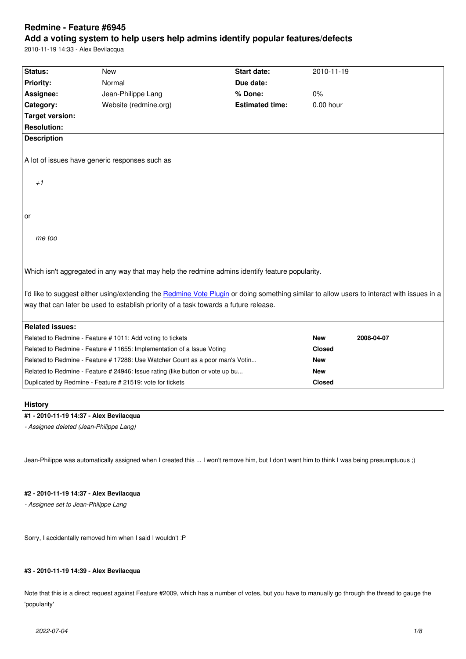#### **Add a voting system to help users help admins identify popular features/defects**

2010-11-19 14:33 - Alex Bevilacqua

| Status:                                                                                                                                                                                                                           | <b>New</b>                                                 | <b>Start date:</b>     | 2010-11-19    |            |
|-----------------------------------------------------------------------------------------------------------------------------------------------------------------------------------------------------------------------------------|------------------------------------------------------------|------------------------|---------------|------------|
| <b>Priority:</b>                                                                                                                                                                                                                  | Normal                                                     | Due date:              |               |            |
| Assignee:                                                                                                                                                                                                                         | Jean-Philippe Lang                                         | % Done:                | 0%            |            |
| Category:                                                                                                                                                                                                                         | Website (redmine.org)                                      | <b>Estimated time:</b> | $0.00$ hour   |            |
| <b>Target version:</b>                                                                                                                                                                                                            |                                                            |                        |               |            |
| <b>Resolution:</b>                                                                                                                                                                                                                |                                                            |                        |               |            |
| <b>Description</b>                                                                                                                                                                                                                |                                                            |                        |               |            |
| A lot of issues have generic responses such as<br>$+1$                                                                                                                                                                            |                                                            |                        |               |            |
| or<br>me too                                                                                                                                                                                                                      |                                                            |                        |               |            |
| Which isn't aggregated in any way that may help the redmine admins identify feature popularity.                                                                                                                                   |                                                            |                        |               |            |
| I'd like to suggest either using/extending the Redmine Vote Plugin or doing something similar to allow users to interact with issues in a<br>way that can later be used to establish priority of a task towards a future release. |                                                            |                        |               |            |
| <b>Related issues:</b>                                                                                                                                                                                                            |                                                            |                        |               |            |
|                                                                                                                                                                                                                                   | Related to Redmine - Feature # 1011: Add voting to tickets |                        | <b>New</b>    | 2008-04-07 |
| Related to Redmine - Feature # 11655: Implementation of a Issue Voting                                                                                                                                                            |                                                            |                        | <b>Closed</b> |            |
| Related to Redmine - Feature # 17288: Use Watcher Count as a poor man's Votin                                                                                                                                                     |                                                            |                        | <b>New</b>    |            |
| Related to Redmine - Feature # 24946: Issue rating (like button or vote up bu                                                                                                                                                     |                                                            |                        | <b>New</b>    |            |
|                                                                                                                                                                                                                                   | Duplicated by Redmine - Feature # 21519: vote for tickets  |                        | <b>Closed</b> |            |
|                                                                                                                                                                                                                                   |                                                            |                        |               |            |

# **History**

# **#1 - 2010-11-19 14:37 - Alex Bevilacqua**

*- Assignee deleted (Jean-Philippe Lang)*

Jean-Philippe was automatically assigned when I created this ... I won't remove him, but I don't want him to think I was being presumptuous ;)

# **#2 - 2010-11-19 14:37 - Alex Bevilacqua**

*- Assignee set to Jean-Philippe Lang*

Sorry, I accidentally removed him when I said I wouldn't :P

# **#3 - 2010-11-19 14:39 - Alex Bevilacqua**

Note that this is a direct request against Feature #2009, which has a number of votes, but you have to manually go through the thread to gauge the 'popularity'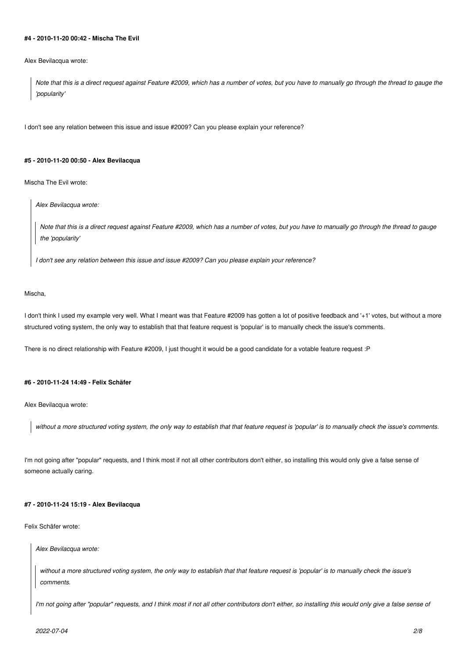# **#4 - 2010-11-20 00:42 - Mischa The Evil**

Alex Bevilacqua wrote:

*Note that this is a direct request against Feature #2009, which has a number of votes, but you have to manually go through the thread to gauge the 'popularity'*

I don't see any relation between this issue and issue #2009? Can you please explain your reference?

## **#5 - 2010-11-20 00:50 - Alex Bevilacqua**

Mischa The Evil wrote:

*Alex Bevilacqua wrote:*

*Note that this is a direct request against Feature #2009, which has a number of votes, but you have to manually go through the thread to gauge the 'popularity'*

*I don't see any relation between this issue and issue #2009? Can you please explain your reference?*

#### Mischa,

I don't think I used my example very well. What I meant was that Feature #2009 has gotten a lot of positive feedback and '+1' votes, but without a more structured voting system, the only way to establish that that feature request is 'popular' is to manually check the issue's comments.

There is no direct relationship with Feature #2009, I just thought it would be a good candidate for a votable feature request :P

#### **#6 - 2010-11-24 14:49 - Felix Schäfer**

Alex Bevilacqua wrote:

*without a more structured voting system, the only way to establish that that feature request is 'popular' is to manually check the issue's comments.*

I'm not going after "popular" requests, and I think most if not all other contributors don't either, so installing this would only give a false sense of someone actually caring.

## **#7 - 2010-11-24 15:19 - Alex Bevilacqua**

Felix Schäfer wrote:

*Alex Bevilacqua wrote:*

*without a more structured voting system, the only way to establish that that feature request is 'popular' is to manually check the issue's comments.*

*I'm not going after "popular" requests, and I think most if not all other contributors don't either, so installing this would only give a false sense of*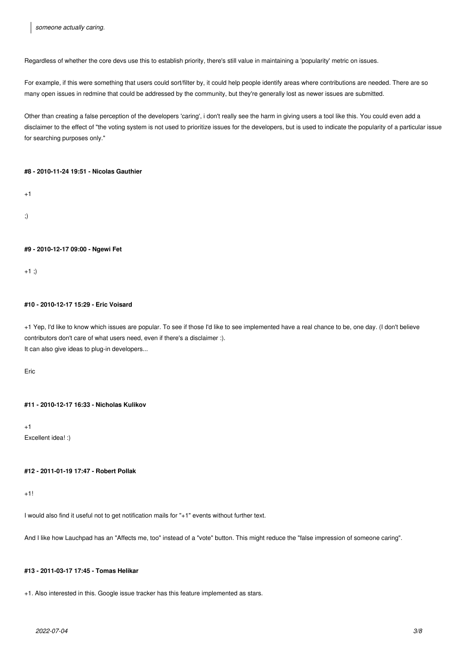Regardless of whether the core devs use this to establish priority, there's still value in maintaining a 'popularity' metric on issues.

For example, if this were something that users could sort/filter by, it could help people identify areas where contributions are needed. There are so many open issues in redmine that could be addressed by the community, but they're generally lost as newer issues are submitted.

Other than creating a false perception of the developers 'caring', i don't really see the harm in giving users a tool like this. You could even add a disclaimer to the effect of "the voting system is not used to prioritize issues for the developers, but is used to indicate the popularity of a particular issue for searching purposes only."

## **#8 - 2010-11-24 19:51 - Nicolas Gauthier**

 $+1$ 

;)

## **#9 - 2010-12-17 09:00 - Ngewi Fet**

 $+1$ ;)

# **#10 - 2010-12-17 15:29 - Eric Voisard**

+1 Yep, I'd like to know which issues are popular. To see if those I'd like to see implemented have a real chance to be, one day. (I don't believe contributors don't care of what users need, even if there's a disclaimer :). It can also give ideas to plug-in developers...

Eric

## **#11 - 2010-12-17 16:33 - Nicholas Kulikov**

 $+1$ Excellent idea! :)

## **#12 - 2011-01-19 17:47 - Robert Pollak**

 $+1!$ 

I would also find it useful not to get notification mails for "+1" events without further text.

And I like how Lauchpad has an "Affects me, too" instead of a "vote" button. This might reduce the "false impression of someone caring".

# **#13 - 2011-03-17 17:45 - Tomas Helikar**

+1. Also interested in this. Google issue tracker has this feature implemented as stars.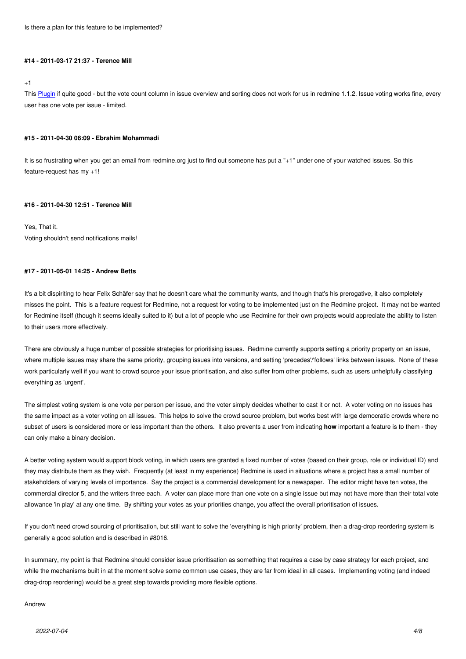#### **#14 - 2011-03-17 21:37 - Terence Mill**

#### +1

This Plugin if quite good - but the vote count column in issue overview and sorting does not work for us in redmine 1.1.2. Issue voting works fine, every user has one vote per issue - limited.

#### **#15 [- 2011-](http://www.redmine.org/boards/3/topics/5506)04-30 06:09 - Ebrahim Mohammadi**

It is so frustrating when you get an email from redmine.org just to find out someone has put a "+1" under one of your watched issues. So this feature-request has my +1!

#### **#16 - 2011-04-30 12:51 - Terence Mill**

# Yes, That it. Voting shouldn't send notifications mails!

## **#17 - 2011-05-01 14:25 - Andrew Betts**

It's a bit dispiriting to hear Felix Schäfer say that he doesn't care what the community wants, and though that's his prerogative, it also completely misses the point. This is a feature request for Redmine, not a request for voting to be implemented just on the Redmine project. It may not be wanted for Redmine itself (though it seems ideally suited to it) but a lot of people who use Redmine for their own projects would appreciate the ability to listen to their users more effectively.

There are obviously a huge number of possible strategies for prioritising issues. Redmine currently supports setting a priority property on an issue, where multiple issues may share the same priority, grouping issues into versions, and setting 'precedes'/'follows' links between issues. None of these work particularly well if you want to crowd source your issue prioritisation, and also suffer from other problems, such as users unhelpfully classifying everything as 'urgent'.

The simplest voting system is one vote per person per issue, and the voter simply decides whether to cast it or not. A voter voting on no issues has the same impact as a voter voting on all issues. This helps to solve the crowd source problem, but works best with large democratic crowds where no subset of users is considered more or less important than the others. It also prevents a user from indicating **how** important a feature is to them - they can only make a binary decision.

A better voting system would support block voting, in which users are granted a fixed number of votes (based on their group, role or individual ID) and they may distribute them as they wish. Frequently (at least in my experience) Redmine is used in situations where a project has a small number of stakeholders of varying levels of importance. Say the project is a commercial development for a newspaper. The editor might have ten votes, the commercial director 5, and the writers three each. A voter can place more than one vote on a single issue but may not have more than their total vote allowance 'in play' at any one time. By shifting your votes as your priorities change, you affect the overall prioritisation of issues.

If you don't need crowd sourcing of prioritisation, but still want to solve the 'everything is high priority' problem, then a drag-drop reordering system is generally a good solution and is described in #8016.

In summary, my point is that Redmine should consider issue prioritisation as something that requires a case by case strategy for each project, and while the mechanisms built in at the moment solve some common use cases, they are far from ideal in all cases. Implementing voting (and indeed drag-drop reordering) would be a great step towards providing more flexible options.

#### Andrew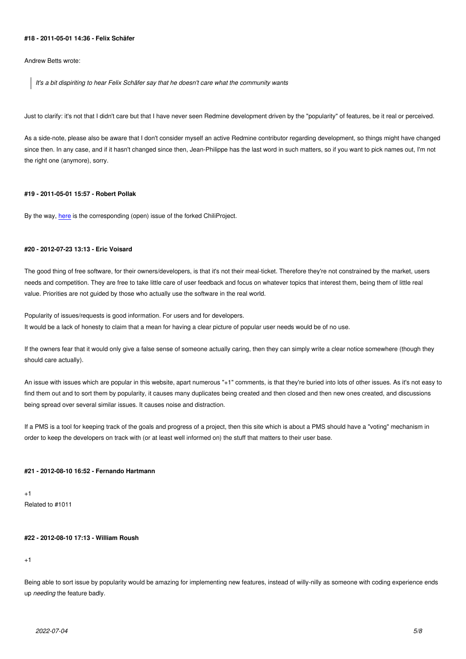**#18 - 2011-05-01 14:36 - Felix Schäfer**

Andrew Betts wrote:

*It's a bit dispiriting to hear Felix Schäfer say that he doesn't care what the community wants*

Just to clarify: it's not that I didn't care but that I have never seen Redmine development driven by the "popularity" of features, be it real or perceived.

As a side-note, please also be aware that I don't consider myself an active Redmine contributor regarding development, so things might have changed since then. In any case, and if it hasn't changed since then, Jean-Philippe has the last word in such matters, so if you want to pick names out, I'm not the right one (anymore), sorry.

## **#19 - 2011-05-01 15:57 - Robert Pollak**

By the way, here is the corresponding (open) issue of the forked ChiliProject.

# **#20 - 2012-[07-23](https://www.chiliproject.org/issues/98) 13:13 - Eric Voisard**

The good thing of free software, for their owners/developers, is that it's not their meal-ticket. Therefore they're not constrained by the market, users needs and competition. They are free to take little care of user feedback and focus on whatever topics that interest them, being them of little real value. Priorities are not guided by those who actually use the software in the real world.

Popularity of issues/requests is good information. For users and for developers. It would be a lack of honesty to claim that a mean for having a clear picture of popular user needs would be of no use.

If the owners fear that it would only give a false sense of someone actually caring, then they can simply write a clear notice somewhere (though they should care actually).

An issue with issues which are popular in this website, apart numerous "+1" comments, is that they're buried into lots of other issues. As it's not easy to find them out and to sort them by popularity, it causes many duplicates being created and then closed and then new ones created, and discussions being spread over several similar issues. It causes noise and distraction.

If a PMS is a tool for keeping track of the goals and progress of a project, then this site which is about a PMS should have a "voting" mechanism in order to keep the developers on track with (or at least well informed on) the stuff that matters to their user base.

#### **#21 - 2012-08-10 16:52 - Fernando Hartmann**

+1 Related to #1011

# **#22 - 2012-08-10 17:13 - William Roush**

+1

Being able to sort issue by popularity would be amazing for implementing new features, instead of willy-nilly as someone with coding experience ends up *needing* the feature badly.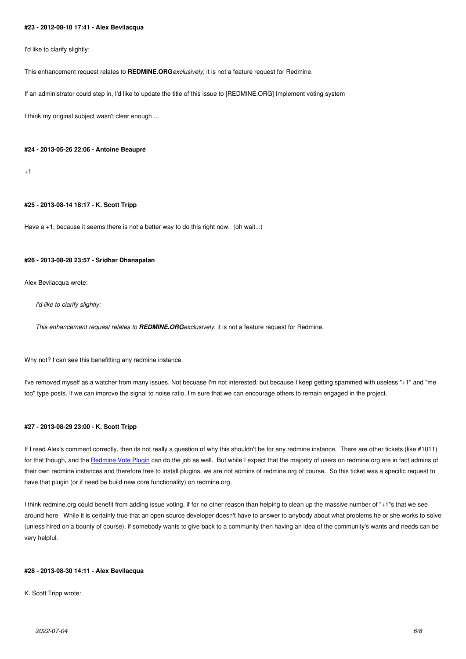I'd like to clarify slightly:

This enhancement request relates to **REDMINE.ORG***exclusively*; it is not a feature request for Redmine.

If an administrator could step in, I'd like to update the title of this issue to [REDMINE.ORG] Implement voting system

I think my original subject wasn't clear enough ...

# **#24 - 2013-05-26 22:06 - Antoine Beaupré**

 $+1$ 

## **#25 - 2013-08-14 18:17 - K. Scott Tripp**

Have  $a + 1$ , because it seems there is not a better way to do this right now. (oh wait...)

#### **#26 - 2013-08-28 23:57 - Sridhar Dhanapalan**

Alex Bevilacqua wrote:

*I'd like to clarify slightly:*

*This enhancement request relates to REDMINE.ORGexclusively*; it is not a feature request for Redmine.

Why not? I can see this benefitting any redmine instance.

I've removed myself as a watcher from many issues. Not becuase I'm not interested, but because I keep getting spammed with useless "+1" and "me too" type posts. If we can improve the signal to noise ratio, I'm sure that we can encourage others to remain engaged in the project.

#### **#27 - 2013-08-29 23:00 - K. Scott Tripp**

If I read Alex's comment correctly, then its not really a question of why this shouldn't be for any redmine instance. There are other tickets (like #1011) for that though, and the Redmine Vote Plugin can do the job as well. But while I expect that the majority of users on redmine.org are in fact admins of their own redmine instances and therefore free to install plugins, we are not admins of redmine.org of course. So this ticket was a specific request to have that plugin (or if need be build new core functionality) on redmine.org.

I think redmine.org coul[d benefit from adding](http://www.redmine.org/boards/3/topics/5506) issue voting, if for no other reason than helping to clean up the massive number of "+1"s that we see around here. While it is certainly true that an open source developer doesn't have to answer to anybody about what problems he or she works to solve (unless hired on a bounty of course), if somebody wants to give back to a community then having an idea of the community's wants and needs can be very helpful.

#### **#28 - 2013-08-30 14:11 - Alex Bevilacqua**

K. Scott Tripp wrote: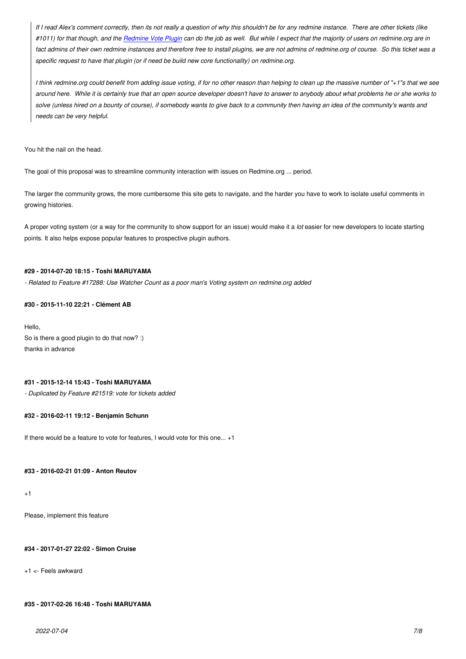*#1011) for that though, and the Redmine Vote Plugin can do the job as well. But while I expect that the majority of users on redmine.org are in fact admins of their own redmine instances and therefore free to install plugins, we are not admins of redmine.org of course. So this ticket was a specific request to have that plugin (or if need be build new core functionality) on redmine.org.*

*I think redmine.org could benefi[t from adding issue vo](http://www.redmine.org/boards/3/topics/5506)ting, if for no other reason than helping to clean up the massive number of "+1"s that we see around here. While it is certainly true that an open source developer doesn't have to answer to anybody about what problems he or she works to solve (unless hired on a bounty of course), if somebody wants to give back to a community then having an idea of the community's wants and needs can be very helpful.*

You hit the nail on the head.

The goal of this proposal was to streamline community interaction with issues on Redmine.org ... period.

The larger the community grows, the more cumbersome this site gets to navigate, and the harder you have to work to isolate useful comments in growing histories.

A proper voting system (or a way for the community to show support for an issue) would make it a *lot* easier for new developers to locate starting points. It also helps expose popular features to prospective plugin authors.

## **#29 - 2014-07-20 18:15 - Toshi MARUYAMA**

*- Related to Feature #17288: Use Watcher Count as a poor man's Voting system on redmine.org added*

#### **#30 - 2015-11-10 22:21 - Clément AB**

Hello, So is there a good plugin to do that now? :) thanks in advance

#### **#31 - 2015-12-14 15:43 - Toshi MARUYAMA**

*- Duplicated by Feature #21519: vote for tickets added*

#### **#32 - 2016-02-11 19:12 - Benjamin Schunn**

If there would be a feature to vote for features, I would vote for this one... +1

#### **#33 - 2016-02-21 01:09 - Anton Reutov**

+1

Please, implement this feature

#### **#34 - 2017-01-27 22:02 - Simon Cruise**

+1 <- Feels awkward

## **#35 - 2017-02-26 16:48 - Toshi MARUYAMA**

*2022-07-04 7/8*